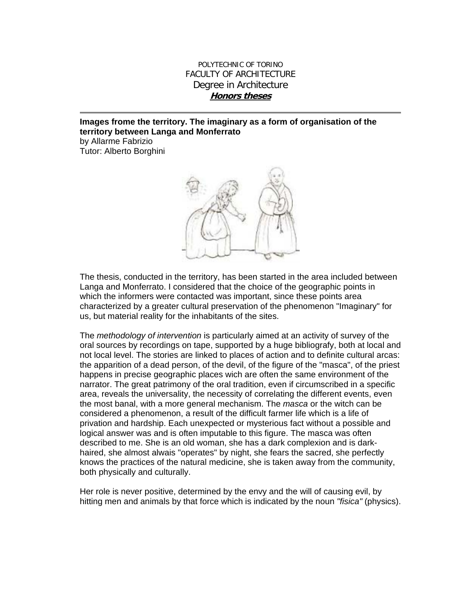## POLYTECHNIC OF TORINO FACULTY OF ARCHITECTURE Degree in Architecture **Honors theses**

## **Images frome the territory. The imaginary as a form of organisation of the territory between Langa and Monferrato**

by Allarme Fabrizio Tutor: Alberto Borghini



The thesis, conducted in the territory, has been started in the area included between Langa and Monferrato. I considered that the choice of the geographic points in which the informers were contacted was important, since these points area characterized by a greater cultural preservation of the phenomenon "Imaginary" for us, but material reality for the inhabitants of the sites.

The *methodology of intervention* is particularly aimed at an activity of survey of the oral sources by recordings on tape, supported by a huge bibliografy, both at local and not local level. The stories are linked to places of action and to definite cultural arcas: the apparition of a dead person, of the devil, of the figure of the "masca", of the priest happens in precise geographic places wich are often the same environment of the narrator. The great patrimony of the oral tradition, even if circumscribed in a specific area, reveals the universality, the necessity of correlating the different events, even the most banal, with a more general mechanism. The *masca* or the witch can be considered a phenomenon, a result of the difficult farmer life which is a life of privation and hardship. Each unexpected or mysterious fact without a possible and logical answer was and is often imputable to this figure. The masca was often described to me. She is an old woman, she has a dark complexion and is darkhaired, she almost alwais "operates" by night, she fears the sacred, she perfectly knows the practices of the natural medicine, she is taken away from the community, both physically and culturally.

Her role is never positive, determined by the envy and the will of causing evil, by hitting men and animals by that force which is indicated by the noun *"fisica"* (physics).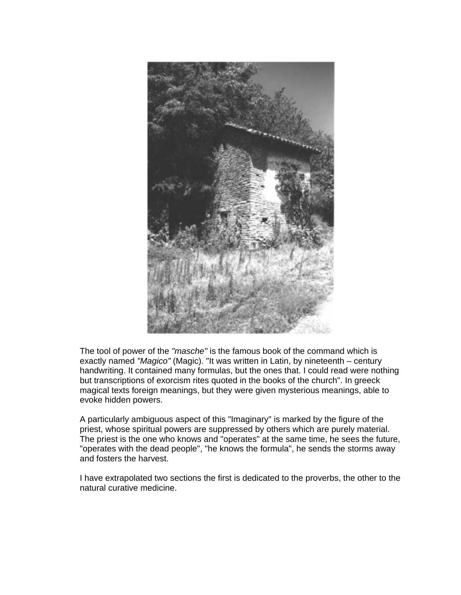

The tool of power of the *"masche"* is the famous book of the command which is exactly named *"Magico"* (Magic). "It was written in Latin, by nineteenth – century handwriting. It contained many formulas, but the ones that. I could read were nothing but transcriptions of exorcism rites quoted in the books of the church". In greeck magical texts foreign meanings, but they were given mysterious meanings, able to evoke hidden powers.

A particularly ambiguous aspect of this "Imaginary" is marked by the figure of the priest, whose spiritual powers are suppressed by others which are purely material. The priest is the one who knows and "operates" at the same time, he sees the future, "operates with the dead people", "he knows the formula", he sends the storms away and fosters the harvest.

I have extrapolated two sections the first is dedicated to the proverbs, the other to the natural curative medicine.